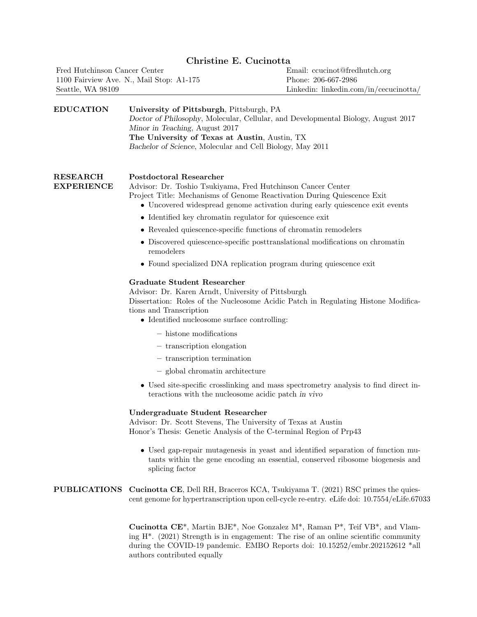## Christine E. Cucinotta

| Fred Hutchinson Cancer Center            | Email: concinct@fredhutch.org            |
|------------------------------------------|------------------------------------------|
| 1100 Fairview Ave. N., Mail Stop: A1-175 | Phone: 206-667-2986                      |
| Seattle, WA 98109                        | Linkedin: $linkedin.com/in/eccucinotta/$ |

#### EDUCATION University of Pittsburgh, Pittsburgh, PA Doctor of Philosophy, Molecular, Cellular, and Developmental Biology, August 2017

Minor in Teaching, August 2017 The University of Texas at Austin, Austin, TX Bachelor of Science, Molecular and Cell Biology, May 2011

| RESEARCH          | Postdoctoral Researcher                                                 |
|-------------------|-------------------------------------------------------------------------|
| <b>EXPERIENCE</b> | Advisor: Dr. Toshio Tsukiyama, Fred Hutchinson Cancer Center            |
|                   | Project Title: Mechanisms of Genome Reactivation During Quiescence Exit |

- Uncovered widespread genome activation during early quiescence exit events
- Identified key chromatin regulator for quiescence exit
- Revealed quiescence-specific functions of chromatin remodelers
- Discovered quiescence-specific posttranslational modifications on chromatin remodelers
- Found specialized DNA replication program during quiescence exit

#### Graduate Student Researcher

Advisor: Dr. Karen Arndt, University of Pittsburgh Dissertation: Roles of the Nucleosome Acidic Patch in Regulating Histone Modifica-

tions and Transcription

- Identified nucleosome surface controlling:
	- histone modifications
	- transcription elongation
	- transcription termination
	- global chromatin architecture
- Used site-specific crosslinking and mass spectrometry analysis to find direct interactions with the nucleosome acidic patch in vivo

#### Undergraduate Student Researcher

Advisor: Dr. Scott Stevens, The University of Texas at Austin Honor's Thesis: Genetic Analysis of the C-terminal Region of Prp43

• Used gap-repair mutagenesis in yeast and identified separation of function mutants within the gene encoding an essential, conserved ribosome biogenesis and splicing factor

### PUBLICATIONS Cucinotta CE, Dell RH, Braceros KCA, Tsukiyama T. (2021) RSC primes the quiescent genome for hypertranscription upon cell-cycle re-entry. eLife doi: 10.7554/eLife.67033

Cucinotta CE\*, Martin BJE\*, Noe Gonzalez M\*, Raman P\*, Teif VB\*, and Vlaming H\*. (2021) Strength is in engagement: The rise of an online scientific community during the COVID-19 pandemic. EMBO Reports doi: 10.15252/embr.202152612 \*all authors contributed equally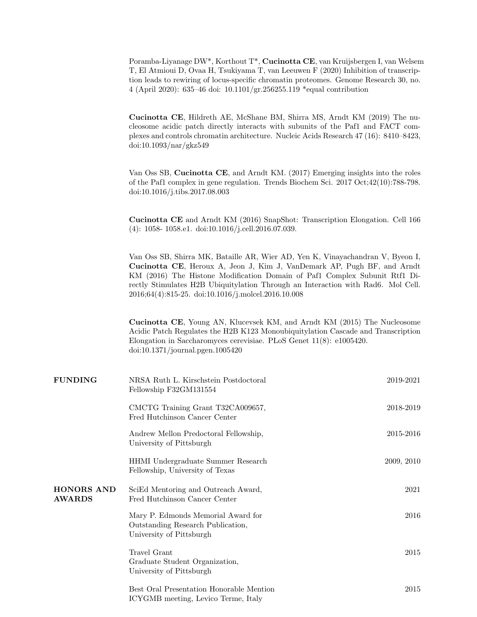Poramba-Liyanage DW\*, Korthout T\*, Cucinotta CE, van Kruijsbergen I, van Welsem T, El Atmioui D, Ovaa H, Tsukiyama T, van Leeuwen F (2020) Inhibition of transcription leads to rewiring of locus-specific chromatin proteomes. Genome Research 30, no. 4 (April 2020): 635–46 doi: 10.1101/gr.256255.119 \*equal contribution

Cucinotta CE, Hildreth AE, McShane BM, Shirra MS, Arndt KM (2019) The nucleosome acidic patch directly interacts with subunits of the Paf1 and FACT complexes and controls chromatin architecture. Nucleic Acids Research 47 (16): 8410–8423, doi:10.1093/nar/gkz549

Van Oss SB, Cucinotta CE, and Arndt KM. (2017) Emerging insights into the roles of the Paf1 complex in gene regulation. Trends Biochem Sci. 2017 Oct;42(10):788-798. doi:10.1016/j.tibs.2017.08.003

Cucinotta CE and Arndt KM (2016) SnapShot: Transcription Elongation. Cell 166 (4): 1058- 1058.e1. doi:10.1016/j.cell.2016.07.039.

Van Oss SB, Shirra MK, Bataille AR, Wier AD, Yen K, Vinayachandran V, Byeon I, Cucinotta CE, Heroux A, Jeon J, Kim J, VanDemark AP, Pugh BF, and Arndt KM (2016) The Histone Modification Domain of Paf1 Complex Subunit Rtf1 Directly Stimulates H2B Ubiquitylation Through an Interaction with Rad6. Mol Cell. 2016;64(4):815-25. doi:10.1016/j.molcel.2016.10.008

Cucinotta CE, Young AN, Klucevsek KM, and Arndt KM (2015) The Nucleosome Acidic Patch Regulates the H2B K123 Monoubiquitylation Cascade and Transcription Elongation in Saccharomyces cerevisiae. PLoS Genet 11(8): e1005420. doi:10.1371/journal.pgen.1005420

| <b>FUNDING</b>                     | NRSA Ruth L. Kirschstein Postdoctoral<br>Fellowship F32GM131554                                     | 2019-2021  |
|------------------------------------|-----------------------------------------------------------------------------------------------------|------------|
|                                    | CMCTG Training Grant T32CA009657,<br>Fred Hutchinson Cancer Center                                  | 2018-2019  |
|                                    | Andrew Mellon Predoctoral Fellowship,<br>University of Pittsburgh                                   | 2015-2016  |
|                                    | HHMI Undergraduate Summer Research<br>Fellowship, University of Texas                               | 2009, 2010 |
| <b>HONORS AND</b><br><b>AWARDS</b> | SciEd Mentoring and Outreach Award,<br>Fred Hutchinson Cancer Center                                | 2021       |
|                                    | Mary P. Edmonds Memorial Award for<br>Outstanding Research Publication,<br>University of Pittsburgh | 2016       |
|                                    | Travel Grant<br>Graduate Student Organization,<br>University of Pittsburgh                          | 2015       |
|                                    | Best Oral Presentation Honorable Mention<br>ICYGMB meeting, Levico Terme, Italy                     | 2015       |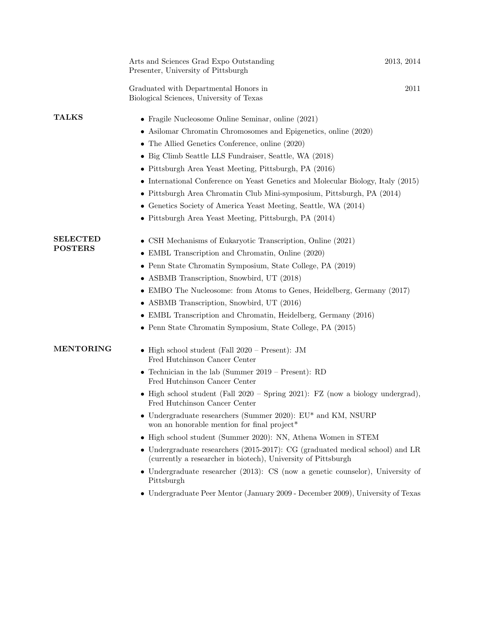|                                   | Arts and Sciences Grad Expo Outstanding<br>Presenter, University of Pittsburgh                                                                                                                                                                                                                                                                                                                                                                                                                                                                                                                                                                                                                                                                                                                                               | 2013, 2014 |
|-----------------------------------|------------------------------------------------------------------------------------------------------------------------------------------------------------------------------------------------------------------------------------------------------------------------------------------------------------------------------------------------------------------------------------------------------------------------------------------------------------------------------------------------------------------------------------------------------------------------------------------------------------------------------------------------------------------------------------------------------------------------------------------------------------------------------------------------------------------------------|------------|
|                                   | Graduated with Departmental Honors in<br>Biological Sciences, University of Texas                                                                                                                                                                                                                                                                                                                                                                                                                                                                                                                                                                                                                                                                                                                                            | 2011       |
| <b>TALKS</b>                      | • Fragile Nucleosome Online Seminar, online $(2021)$<br>• Asilomar Chromatin Chromosomes and Epigenetics, online (2020)<br>• The Allied Genetics Conference, online (2020)<br>• Big Climb Seattle LLS Fundraiser, Seattle, WA (2018)<br>• Pittsburgh Area Yeast Meeting, Pittsburgh, PA (2016)<br>• International Conference on Yeast Genetics and Molecular Biology, Italy (2015)<br>• Pittsburgh Area Chromatin Club Mini-symposium, Pittsburgh, PA (2014)<br>• Genetics Society of America Yeast Meeting, Seattle, WA (2014)<br>• Pittsburgh Area Yeast Meeting, Pittsburgh, PA (2014)                                                                                                                                                                                                                                    |            |
| <b>SELECTED</b><br><b>POSTERS</b> | CSH Mechanisms of Eukaryotic Transcription, Online (2021)<br>• EMBL Transcription and Chromatin, Online (2020)<br>• Penn State Chromatin Symposium, State College, PA (2019)<br>• ASBMB Transcription, Snowbird, UT (2018)<br>• EMBO The Nucleosome: from Atoms to Genes, Heidelberg, Germany (2017)<br>• ASBMB Transcription, Snowbird, UT (2016)<br>• EMBL Transcription and Chromatin, Heidelberg, Germany (2016)<br>• Penn State Chromatin Symposium, State College, PA (2015)                                                                                                                                                                                                                                                                                                                                           |            |
| <b>MENTORING</b>                  | • High school student (Fall $2020$ – Present): JM<br>Fred Hutchinson Cancer Center<br>• Technician in the lab (Summer $2019$ – Present): RD<br>Fred Hutchinson Cancer Center<br>• High school student (Fall $2020$ – Spring 2021): FZ (now a biology undergrad),<br>Fred Hutchinson Cancer Center<br>• Undergraduate researchers (Summer 2020): $EU^*$ and KM, NSURP<br>won an honorable mention for final project*<br>• High school student (Summer 2020): NN, Athena Women in STEM<br>• Undergraduate researchers (2015-2017): CG (graduated medical school) and LR<br>(currently a researcher in biotech), University of Pittsburgh<br>• Undergraduate researcher $(2013)$ : CS (now a genetic counselor), University of<br>Pittsburgh<br>• Undergraduate Peer Mentor (January 2009 - December 2009), University of Texas |            |